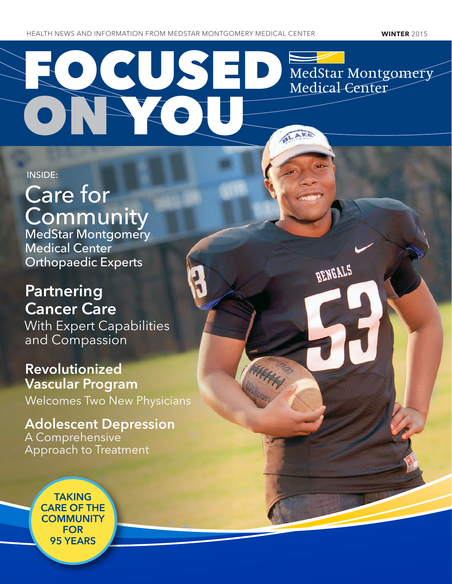ON YOU

TUSEL MedStar Montgomery Medical-Center

BENGALS

BLAKE

INSIDE:

# Care for **Community**

MedStar Montgomery Medical Center Orthopaedic Experts

## **Partnering** Cancer Care

With Expert Capabilities and Compassion

### Revolutionized Vascular Program

Welcomes Two New Physicians

Adolescent Depression A Comprehensive Approach to Treatment

> TAKING CARE OF THE **COMMUNITY** FOR 95 YEARS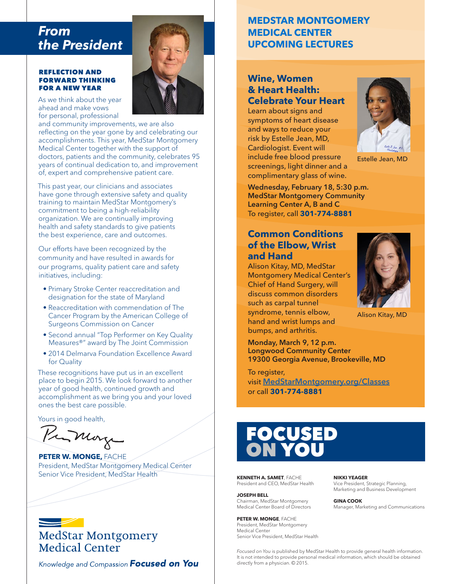### *From the President*

#### REFLECTION AND FORWARD THINKING FOR A NEW YEAR

As we think about the year ahead and make vows for personal, professional

and community improvements, we are also reflecting on the year gone by and celebrating our accomplishments. This year, MedStar Montgomery Medical Center together with the support of doctors, patients and the community, celebrates 95 years of continual dedication to, and improvement of, expert and comprehensive patient care.

This past year, our clinicians and associates have gone through extensive safety and quality training to maintain MedStar Montgomery's commitment to being a high-reliability organization. We are continually improving health and safety standards to give patients the best experience, care and outcomes.

Our efforts have been recognized by the community and have resulted in awards for our programs, quality patient care and safety initiatives, including:

- Primary Stroke Center reaccreditation and designation for the state of Maryland
- Reaccreditation with commendation of The Cancer Program by the American College of Surgeons Commission on Cancer
- Second annual "Top Performer on Key Quality Measures®" award by The Joint Commission
- 2014 Delmarva Foundation Excellence Award for Quality

These recognitions have put us in an excellent place to begin 2015. We look forward to another year of good health, continued growth and accomplishment as we bring you and your loved ones the best care possible.

Yours in good health,

Primary

**PETER W. MONGE,** FACHE President, MedStar Montgomery Medical Center Senior Vice President, MedStar Health

### $\implies$ **MedStar Montgomery** Medical Center

Knowledge and Compassion **Focused on You** 

### **MEDSTAR MONTGOMERY MEDICAL CENTER UPCOMING LECTURES**

#### **Wine, Women & Heart Health: Celebrate Your Heart**

Learn about signs and symptoms of heart disease and ways to reduce your risk by Estelle Jean, MD, Cardiologist. Event will include free blood pressure screenings, light dinner and a complimentary glass of wine.



Estelle Jean, MD

Wednesday, February 18, 5:30 p.m. MedStar Montgomery Community Learning Center A, B and C To register, call **301-774-8881**

### **Common Conditions of the Elbow, Wrist and Hand**

Alison Kitay, MD, MedStar Montgomery Medical Center's Chief of Hand Surgery, will discuss common disorders such as carpal tunnel syndrome, tennis elbow, hand and wrist lumps and bumps, and arthritis.



Alison Kitay, MD

Monday, March 9, 12 p.m. Longwood Community Center 19300 Georgia Avenue, Brookeville, MD

To register, visit MedStarMontgomery.org/Classes or call **301-774-8881**

## FOCUSED ON YOU

**KENNETH A. SAMET**, FACHE President and CEO, MedStar Health

**JOSEPH BELL** Chairman, MedStar Montgomery Medical Center Board of Directors

**PETER W. MONGE FACHE** President, MedStar Montgomery Medical Center Senior Vice President, MedStar Health

*Focused on You* is published by MedStar Health to provide general health information. It is not intended to provide personal medical information, which should be obtained directly from a physician. © 2015.

**NIKKI YEAGER**

Vice President, Strategic Planning, Marketing and Business Development

#### **GINA COOK**

Manager, Marketing and Communications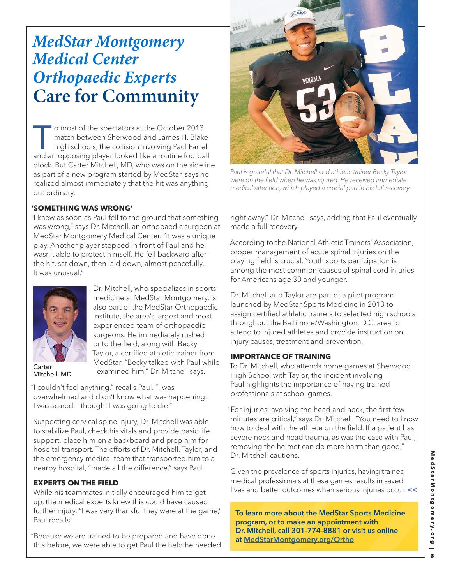## *MedStar Montgomery Medical Center Orthopaedic Experts*  **Care for Community**

O most of the spectators at the October 2013<br>
match between Sherwood and James H. Blake<br>
high schools, the collision involving Paul Farrell<br>
and an appacing player looked like a routing football match between Sherwood and James H. Blake and an opposing player looked like a routine football block. But Carter Mitchell, MD, who was on the sideline as part of a new program started by MedStar, says he realized almost immediately that the hit was anything but ordinary.

#### **'SOMETHING WAS WRONG'**

"I knew as soon as Paul fell to the ground that something was wrong," says Dr. Mitchell, an orthopaedic surgeon at MedStar Montgomery Medical Center. "It was a unique play. Another player stepped in front of Paul and he wasn't able to protect himself. He fell backward after the hit, sat down, then laid down, almost peacefully. It was unusual."

> Dr. Mitchell, who specializes in sports medicine at MedStar Montgomery, is also part of the MedStar Orthopaedic Institute, the area's largest and most experienced team of orthopaedic surgeons. He immediately rushed onto the field, along with Becky Taylor, a certified athletic trainer from MedStar. "Becky talked with Paul while



**Carter** Mitchell, MD

I examined him," Dr. Mitchell says. "I couldn't feel anything," recalls Paul. "I was overwhelmed and didn't know what was happening. I was scared. I thought I was going to die."

Suspecting cervical spine injury, Dr. Mitchell was able to stabilize Paul, check his vitals and provide basic life support, place him on a backboard and prep him for hospital transport. The efforts of Dr. Mitchell, Taylor, and the emergency medical team that transported him to a nearby hospital, "made all the difference," says Paul.

#### **EXPERTS ON THE FIELD**

While his teammates initially encouraged him to get up, the medical experts knew this could have caused further injury. "I was very thankful they were at the game," Paul recalls.

"Because we are trained to be prepared and have done this before, we were able to get Paul the help he needed



*Paul is grateful that Dr. Mitchell and athletic trainer Becky Taylor*  were on the field when he was injured. He received immediate medical attention, which played a crucial part in his full recovery.

right away," Dr. Mitchell says, adding that Paul eventually made a full recovery.

According to the National Athletic Trainers' Association, proper management of acute spinal injuries on the playing field is crucial. Youth sports participation is among the most common causes of spinal cord injuries for Americans age 30 and younger.

Dr. Mitchell and Taylor are part of a pilot program launched by MedStar Sports Medicine in 2013 to assign certified athletic trainers to selected high schools throughout the Baltimore/Washington, D.C. area to attend to injured athletes and provide instruction on injury causes, treatment and prevention.

#### **IMPORTANCE OF TRAINING**

To Dr. Mitchell, who attends home games at Sherwood High School with Taylor, the incident involving Paul highlights the importance of having trained professionals at school games.

"For injuries involving the head and neck, the first few minutes are critical," says Dr. Mitchell. "You need to know how to deal with the athlete on the field. If a patient has severe neck and head trauma, as was the case with Paul, removing the helmet can do more harm than good," Dr. Mitchell cautions.

Given the prevalence of sports injuries, having trained medical professionals at these games results in saved lives and better outcomes when serious injuries occur. **<<**

To learn more about the MedStar Sports Medicine program, or to make an appointment with Dr. Mitchell, call 301-774-8881 or visit us online at MedStarMontgomery.org/Ortho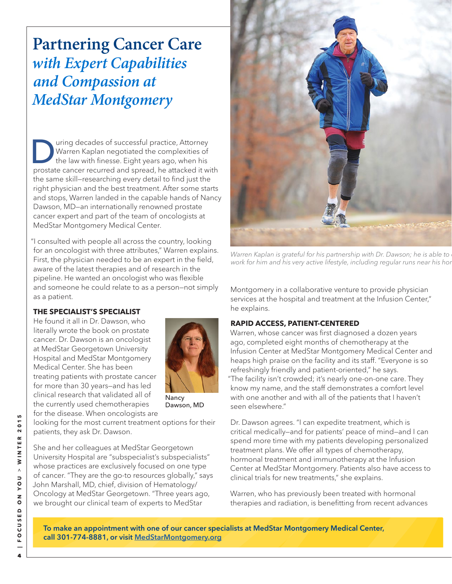## **Partnering Cancer Care**  *with Expert Capabilities and Compassion at MedStar Montgomery*

Using decades of successful practice, Attorney<br>Warren Kaplan negotiated the complexities of<br>the law with finesse. Eight years ago, when his<br>protate capcer recurred and spread he attacked it w Warren Kaplan negotiated the complexities of the law with finesse. Eight years ago, when his prostate cancer recurred and spread, he attacked it with the same skill—researching every detail to find just the right physician and the best treatment. After some starts and stops, Warren landed in the capable hands of Nancy Dawson, MD—an internationally renowned prostate cancer expert and part of the team of oncologists at MedStar Montgomery Medical Center.

"I consulted with people all across the country, looking for an oncologist with three attributes," Warren explains. First, the physician needed to be an expert in the field, aware of the latest therapies and of research in the pipeline. He wanted an oncologist who was flexible and someone he could relate to as a person—not simply as a patient.

#### **THE SPECIALIST'S SPECIALIST**

He found it all in Dr. Dawson, who literally wrote the book on prostate cancer. Dr. Dawson is an oncologist at MedStar Georgetown University Hospital and MedStar Montgomery Medical Center. She has been treating patients with prostate cancer for more than 30 years—and has led clinical research that validated all of the currently used chemotherapies for the disease. When oncologists are



Nancy Dawson, MD

looking for the most current treatment options for their patients, they ask Dr. Dawson.

She and her colleagues at MedStar Georgetown University Hospital are "subspecialist's subspecialists" whose practices are exclusively focused on one type of cancer. "They are the go-to resources globally," says John Marshall, MD, chief, division of Hematology/ Oncology at MedStar Georgetown. "Three years ago, we brought our clinical team of experts to MedStar



Warren Kaplan is grateful for his partnership with Dr. Dawson; he is able to work for him and his very active lifestyle, including regular runs near his hor

Montgomery in a collaborative venture to provide physician services at the hospital and treatment at the Infusion Center," he explains.

#### **RAPID ACCESS, PATIENT-CENTERED**

Warren, whose cancer was first diagnosed a dozen years ago, completed eight months of chemotherapy at the Infusion Center at MedStar Montgomery Medical Center and heaps high praise on the facility and its staff. "Everyone is so refreshingly friendly and patient-oriented," he says. "The facility isn't crowded; it's nearly one-on-one care. They know my name, and the staff demonstrates a comfort level with one another and with all of the patients that I haven't seen elsewhere."

Dr. Dawson agrees. "I can expedite treatment, which is critical medically—and for patients' peace of mind—and I can spend more time with my patients developing personalized treatment plans. We offer all types of chemotherapy, hormonal treatment and immunotherapy at the Infusion Center at MedStar Montgomery. Patients also have access to clinical trials for new treatments," she explains.

Warren, who has previously been treated with hormonal therapies and radiation, is benefitting from recent advances

To make an appointment with one of our cancer specialists at MedStar Montgomery Medical Center, call 301-774-8881, or visit MedStarMontgomery.org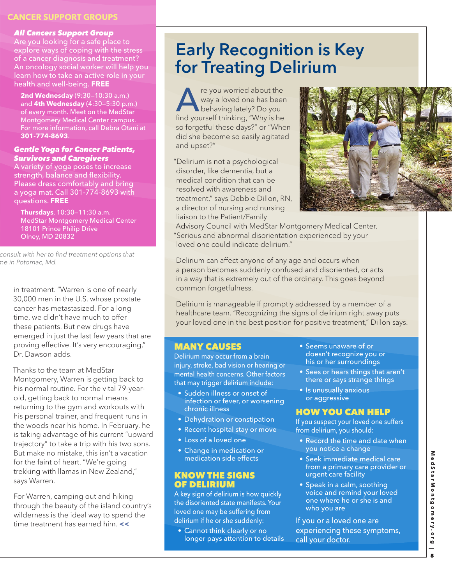#### **CANCER SUPPORT GROUPS**

#### *All Cancers Support Group*

Are you looking for a safe place to explore ways of coping with the stress of a cancer diagnosis and treatment? An oncology social worker will help you learn how to take an active role in your health and well-being. **FREE**

**2nd Wednesday** (9:30—10:30 a.m.) and **4th Wednesday** (4:30—5:30 p.m.) of every month. Meet on the MedStar Montgomery Medical Center campus. For more information, call Debra Otani at **301-774-8693**.

#### *Gentle Yoga for Cancer Patients, Survivors and Caregivers*

A variety of yoga poses to increase strength, balance and flexibility. Please dress comfortably and bring a yoga mat. Call 301-774-8693 with questions. **FREE**

**Thursdays**, 10:30—11:30 a.m. MedStar Montgomery Medical Center 18101 Prince Philip Drive Olney, MD 20832

 consult with her to find treatment options that me in Potomac, Md.

in treatment. "Warren is one of nearly 30,000 men in the U.S. whose prostate cancer has metastasized. For a long time, we didn't have much to offer these patients. But new drugs have emerged in just the last few years that are proving effective. It's very encouraging," Dr. Dawson adds.

Thanks to the team at MedStar Montgomery, Warren is getting back to his normal routine. For the vital 79-yearold, getting back to normal means returning to the gym and workouts with his personal trainer, and frequent runs in the woods near his home. In February, he is taking advantage of his current "upward trajectory" to take a trip with his two sons. But make no mistake, this isn't a vacation for the faint of heart. "We're going trekking with llamas in New Zealand," says Warren.

For Warren, camping out and hiking through the beauty of the island country's wilderness is the ideal way to spend the time treatment has earned him. **<<**

## Early Recognition is Key for Treating Delirium

re you worried about the<br>way a loved one has been<br>behaving lately? Do you<br>find yourself thinking "Why is be way a loved one has been behaving lately? Do you find yourself thinking, "Why is he so forgetful these days?" or "When did she become so easily agitated and upset?"

"Delirium is not a psychological disorder, like dementia, but a medical condition that can be resolved with awareness and treatment," says Debbie Dillon, RN, a director of nursing and nursing liaison to the Patient/Family



Advisory Council with MedStar Montgomery Medical Center. "Serious and abnormal disorientation experienced by your loved one could indicate delirium."

Delirium can affect anyone of any age and occurs when a person becomes suddenly confused and disoriented, or acts in a way that is extremely out of the ordinary. This goes beyond common forgetfulness.

Delirium is manageable if promptly addressed by a member of a healthcare team. "Recognizing the signs of delirium right away puts your loved one in the best position for positive treatment," Dillon says.

#### MANY CAUSES

Delirium may occur from a brain injury, stroke, bad vision or hearing or mental health concerns. Other factors that may trigger delirium include:

- Sudden illness or onset of infection or fever, or worsening chronic illness
- Dehydration or constipation
- Recent hospital stay or move
- Loss of a loved one
- Change in medication or medication side effects

#### KNOW THE SIGNS OF DELIRIUM

A key sign of delirium is how quickly the disoriented state manifests. Your loved one may be suffering from delirium if he or she suddenly:

• Cannot think clearly or no longer pays attention to details

- Seems unaware of or doesn't recognize you or his or her surroundings
- Sees or hears things that aren't there or says strange things
- Is unusually anxious or aggressive

#### HOW YOU CAN HELP

If you suspect your loved one suffers from delirium, you should:

- Record the time and date when you notice a change
- Seek immediate medical care from a primary care provider or urgent care facility
- Speak in a calm, soothing voice and remind your loved one where he or she is and who you are

If you or a loved one are experiencing these symptoms, call your doctor.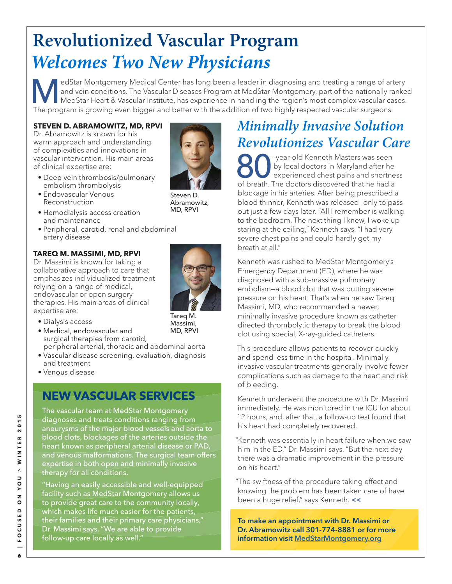## **Revolutionized Vascular Program**  *Welcomes Two New Physicians*

MedStar Montgomery Medical Center has long been a leader in diagnosing and treating a range of artery and vein conditions. The Vascular Diseases Program at MedStar Montgomery, part of the nationally ranked MedStar Heart & and vein conditions. The Vascular Diseases Program at MedStar Montgomery, part of the nationally ranked The program is growing even bigger and better with the addition of two highly respected vascular surgeons.

#### **STEVEN D. ABRAMOWITZ, MD, RPVI**

Dr. Abramowitz is known for his warm approach and understanding of complexities and innovations in vascular intervention. His main areas of clinical expertise are:

- Deep vein thrombosis/pulmonary embolism thrombolysis
- Endovascular Venous Reconstruction
- Hemodialysis access creation and maintenance
- Peripheral, carotid, renal and abdominal artery disease

#### **TAREQ M. MASSIMI, MD, RPVI**

Dr. Massimi is known for taking a collaborative approach to care that emphasizes individualized treatment relying on a range of medical, endovascular or open surgery therapies. His main areas of clinical expertise are:



Tareq M. Massimi,

Steven D. Abramowitz, MD, RPVI

- Dialysis access
- Medical, endovascular and surgical therapies from carotid, peripheral arterial, thoracic and abdominal aorta MD, RPVI
- Vascular disease screening, evaluation, diagnosis and treatment
- Venous disease

### **NEW VASCULAR SERVICES**

The vascular team at MedStar Montgomery diagnoses and treats conditions ranging from aneurysms of the major blood vessels and aorta to blood clots, blockages of the arteries outside the heart known as peripheral arterial disease or PAD, and venous malformations. The surgical team offers expertise in both open and minimally invasive therapy for all conditions.

"Having an easily accessible and well-equipped facility such as MedStar Montgomery allows us to provide great care to the community locally, which makes life much easier for the patients, their families and their primary care physicians," Dr. Massimi says. "We are able to provide follow-up care locally as well."

### *Minimally Invasive Solution Revolutionizes Vascular Care*

Software differenced Chest pains and shortness was seen<br>the experienced chest pains and shortness of broath. The decree discovered that he had a by local doctors in Maryland after he experienced chest pains and shortness of breath. The doctors discovered that he had a blockage in his arteries. After being prescribed a blood thinner, Kenneth was released—only to pass out just a few days later. "All I remember is walking to the bedroom. The next thing I knew, I woke up staring at the ceiling," Kenneth says. "I had very severe chest pains and could hardly get my breath at all."

Kenneth was rushed to MedStar Montgomery's Emergency Department (ED), where he was diagnosed with a sub-massive pulmonary embolism—a blood clot that was putting severe pressure on his heart. That's when he saw Tareq Massimi, MD, who recommended a newer, minimally invasive procedure known as catheter directed thrombolytic therapy to break the blood clot using special, X-ray-guided catheters.

This procedure allows patients to recover quickly and spend less time in the hospital. Minimally invasive vascular treatments generally involve fewer complications such as damage to the heart and risk of bleeding.

Kenneth underwent the procedure with Dr. Massimi immediately. He was monitored in the ICU for about 12 hours, and, after that, a follow-up test found that his heart had completely recovered.

"Kenneth was essentially in heart failure when we saw him in the ED," Dr. Massimi says. "But the next day there was a dramatic improvement in the pressure on his heart."

"The swiftness of the procedure taking effect and knowing the problem has been taken care of have been a huge relief," says Kenneth. **<<**

To make an appointment with Dr. Massimi or Dr. Abramowitz call 301-774-8881 or for more information visit MedStarMontgomery.org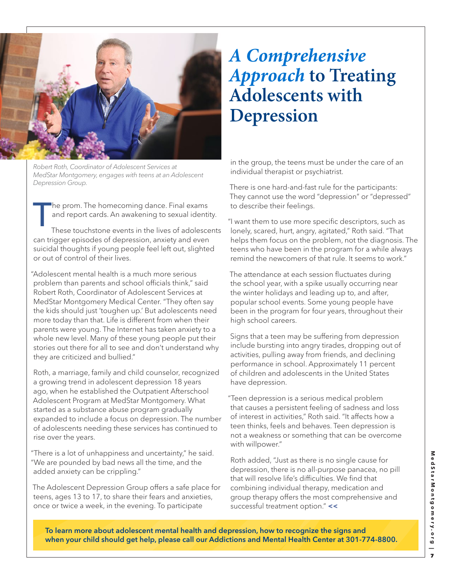

Robert Roth, Coordinator of Adolescent Services at MedStar Montgomery, engages with teens at an Adolescent Depression Group.

The prom. The homecoming dance. Final exams<br>and report cards. An awakening to sexual identi<br>These touchstone events in the lives of adolesce and report cards. An awakening to sexual identity.

These touchstone events in the lives of adolescents can trigger episodes of depression, anxiety and even suicidal thoughts if young people feel left out, slighted or out of control of their lives.

"Adolescent mental health is a much more serious problem than parents and school officials think," said Robert Roth, Coordinator of Adolescent Services at MedStar Montgomery Medical Center. "They often say the kids should just 'toughen up.' But adolescents need more today than that. Life is different from when their parents were young. The Internet has taken anxiety to a whole new level. Many of these young people put their stories out there for all to see and don't understand why they are criticized and bullied."

Roth, a marriage, family and child counselor, recognized a growing trend in adolescent depression 18 years ago, when he established the Outpatient Afterschool Adolescent Program at MedStar Montgomery. What started as a substance abuse program gradually expanded to include a focus on depression. The number of adolescents needing these services has continued to rise over the years.

"There is a lot of unhappiness and uncertainty," he said. "We are pounded by bad news all the time, and the added anxiety can be crippling."

The Adolescent Depression Group offers a safe place for teens, ages 13 to 17, to share their fears and anxieties, once or twice a week, in the evening. To participate

## *A Comprehensive Approach* **to Treating Adolescents with Depression**

in the group, the teens must be under the care of an individual therapist or psychiatrist.

There is one hard-and-fast rule for the participants: They cannot use the word "depression" or "depressed" to describe their feelings.

"I want them to use more specific descriptors, such as lonely, scared, hurt, angry, agitated," Roth said. "That helps them focus on the problem, not the diagnosis. The teens who have been in the program for a while always remind the newcomers of that rule. It seems to work."

The attendance at each session fluctuates during the school year, with a spike usually occurring near the winter holidays and leading up to, and after, popular school events. Some young people have been in the program for four years, throughout their high school careers.

Signs that a teen may be suffering from depression include bursting into angry tirades, dropping out of activities, pulling away from friends, and declining performance in school. Approximately 11 percent of children and adolescents in the United States have depression.

"Teen depression is a serious medical problem that causes a persistent feeling of sadness and loss of interest in activities," Roth said. "It affects how a teen thinks, feels and behaves. Teen depression is not a weakness or something that can be overcome with willpower."

Roth added, "Just as there is no single cause for depression, there is no all-purpose panacea, no pill that will resolve life's difficulties. We find that combining individual therapy, medication and group therapy offers the most comprehensive and successful treatment option." **<<**

To learn more about adolescent mental health and depression, how to recognize the signs and when your child should get help, please call our Addictions and Mental Health Center at 301-774-8800.